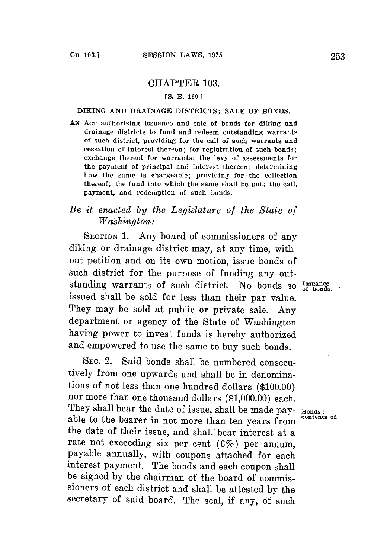## CHAPTER **103.**

## **[S.** B. **160.]**

**DIKING AND** DRAINAGE DISTRICTS; **SALE** OF **BONDS.**

AN Acr authorizing issuance and sale of bonds for diking and drainage districts to fund and redeem outstanding warrants of such district, providing for the call of such warrants and cessation of interest thereon; for registration of such bonds; exchange thereof for warrants; the levy of assessments for the payment of principal and interest thereon; determining how the same is chargeable; providing for the collection thereof; the fund into which the same shall be put; the call, payment, and redemption of such bonds.

## *Be it enacted by the Legislature of the State of Washington:*

**SECTION 1.** Any board of commissioners of any diking or drainage district may, at any time, without petition and on its own motion, issue bonds of such district for the purpose of funding any outstanding warrants of such district. No bonds so  $I_{\text{standard}}^{\text{ssuance}}$ issued shall be sold for less than their par value. They may be sold at public or private sale. Any department or agency of the State of Washington having power to invest funds is hereby authorized and empowered to use the same to buy such bonds.

**SEC.** 2. Said bonds shall be numbered consecutively from one upwards and shall be in denominations of not less than one hundred dollars **(\$100.00)** nor more than one thousand dollars **(\$1,000.00)** each. They shall bear the date of issue, shall be made pay- **Bonds**;<br>able to the bearar in not mane than top years from <sup>contents of</sup> able to the bearer in not more than ten years from the date of their issue, and shall bear interest at a rate not exceeding six per cent  $(6\%)$  per annum. payable annually, with coupons attached for each interest payment. The bonds and each coupon shall be signed **by** the chairman of the board of commissioners of each district and shall be attested **by** the secretary of said board. The seal, if any, of such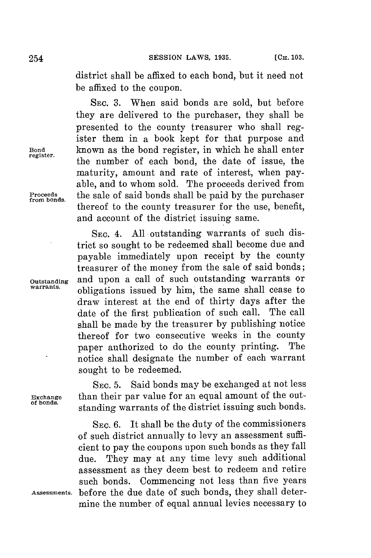district shall be affixed to each bond, but it need not be affixed to the coupon.

SEC. **3.** When said bonds are sold, but before they are delivered to the purchaser, they shall **be** presented to the county treasurer who shall register them in a book kept for that purpose and **Bond** known as the bond register, in which he shall enter the number of each bond, the date of issue, the maturity, amount and rate of interest, when payable, and to whom sold. The proceeds derived from **Proceeds** the sale of said bonds shall be paid **by** the purchaser **from bonds.** thereof to the county treasurer for the use, benefit, and account of the district issuing same.

SEC. 4. **All** outstanding warrants of such district so sought to be redeemed shall become due and payable immediately upon receipt **by** the county treasurer of the money from the sale of said bonds; **Outstanding** and upon a call of such outstanding warrants or obligations issued by him, the same shall cease to draw interest at the end of thirty days after the date of the first publication of such call. The call date of the first publication of such call. shall be made **by** the treasurer **by** publishing notice thereof for two consecutive weeks in the county<br>paper authorized to do the county printing. The paper authorized to do the county printing. notice shall designate the number of each warrant sought to be redeemed.

SEc. **5.** Said bonds may be exchanged at not less **Exchange** than their par value for an equal amount of the outstanding warrants of the district issuing such bonds.

**SEC. 6.** It shall be the duty of the commissioners of such district annually to levy an assessment sufficient to pay the coupons upon such bonds as they fall due. They may at any time levy such additional assessment as they deem best to redeem and retire such bonds. Commencing not less than five years **Assessments.** before the due date of such bonds, they shall determine the number of equal annual levies necessary to